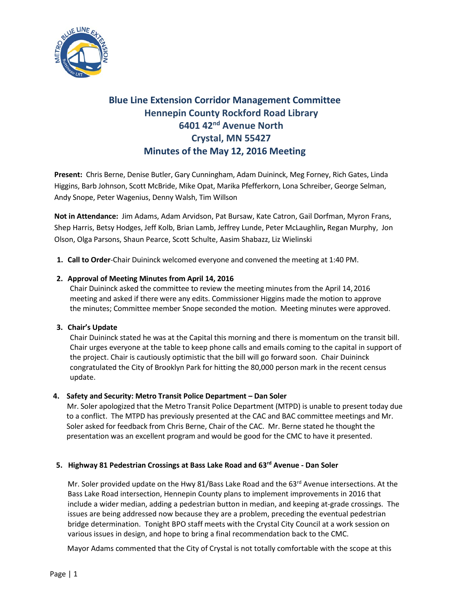

# **Blue Line Extension Corridor Management Committee Hennepin County Rockford Road Library 6401 42nd Avenue North Crystal, MN 55427 Minutes of the May 12, 2016 Meeting**

**Present:** Chris Berne, Denise Butler, Gary Cunningham, Adam Duininck, Meg Forney, Rich Gates, Linda Higgins, Barb Johnson, Scott McBride, Mike Opat, Marika Pfefferkorn, Lona Schreiber, George Selman, Andy Snope, Peter Wagenius, Denny Walsh, Tim Willson

**Not in Attendance:** Jim Adams, Adam Arvidson, Pat Bursaw, Kate Catron, Gail Dorfman, Myron Frans, Shep Harris, Betsy Hodges, Jeff Kolb, Brian Lamb, Jeffrey Lunde, Peter McLaughlin**,** Regan Murphy, Jon Olson, Olga Parsons, Shaun Pearce, Scott Schulte, Aasim Shabazz, Liz Wielinski

**1. Call to Order**-Chair Duininck welcomed everyone and convened the meeting at 1:40 PM.

# **2. Approval of Meeting Minutes from April 14, 2016**

Chair Duininck asked the committee to review the meeting minutes from the April 14, 2016 meeting and asked if there were any edits. Commissioner Higgins made the motion to approve the minutes; Committee member Snope seconded the motion. Meeting minutes were approved.

## **3. Chair's Update**

Chair Duininck stated he was at the Capital this morning and there is momentum on the transit bill. Chair urges everyone at the table to keep phone calls and emails coming to the capital in support of the project. Chair is cautiously optimistic that the bill will go forward soon. Chair Duininck congratulated the City of Brooklyn Park for hitting the 80,000 person mark in the recent census update.

## **4. Safety and Security: Metro Transit Police Department – Dan Soler**

 Mr. Soler apologized that the Metro Transit Police Department (MTPD) is unable to present today due to a conflict. The MTPD has previously presented at the CAC and BAC committee meetings and Mr. Soler asked for feedback from Chris Berne, Chair of the CAC. Mr. Berne stated he thought the presentation was an excellent program and would be good for the CMC to have it presented.

# **5. Highway 81 Pedestrian Crossings at Bass Lake Road and 63rd Avenue - Dan Soler**

Mr. Soler provided update on the Hwy 81/Bass Lake Road and the 63<sup>rd</sup> Avenue intersections. At the Bass Lake Road intersection, Hennepin County plans to implement improvements in 2016 that include a wider median, adding a pedestrian button in median, and keeping at-grade crossings. The issues are being addressed now because they are a problem, preceding the eventual pedestrian bridge determination. Tonight BPO staff meets with the Crystal City Council at a work session on various issues in design, and hope to bring a final recommendation back to the CMC.

Mayor Adams commented that the City of Crystal is not totally comfortable with the scope at this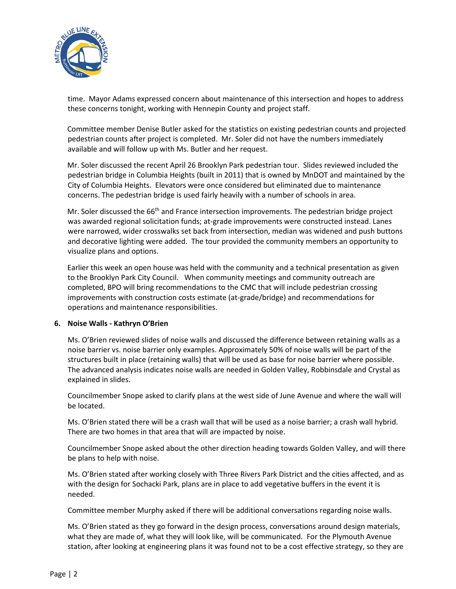

time. Mayor Adams expressed concern about maintenance of this intersection and hopes to address these concerns tonight, working with Hennepin County and project staff.

 Committee member Denise Butler asked for the statistics on existing pedestrian counts and projected pedestrian counts after project is completed. Mr. Soler did not have the numbers immediately available and will follow up with Ms. Butler and her request.

 Mr. Soler discussed the recent April 26 Brooklyn Park pedestrian tour. Slides reviewed included the pedestrian bridge in Columbia Heights (built in 2011) that is owned by MnDOT and maintained by the City of Columbia Heights. Elevators were once considered but eliminated due to maintenance concerns. The pedestrian bridge is used fairly heavily with a number of schools in area.

Mr. Soler discussed the 66<sup>th</sup> and France intersection improvements. The pedestrian bridge project was awarded regional solicitation funds; at-grade improvements were constructed instead. Lanes were narrowed, wider crosswalks set back from intersection, median was widened and push buttons and decorative lighting were added. The tour provided the community members an opportunity to visualize plans and options.

 Earlier this week an open house was held with the community and a technical presentation as given to the Brooklyn Park City Council. When community meetings and community outreach are completed, BPO will bring recommendations to the CMC that will include pedestrian crossing improvements with construction costs estimate (at-grade/bridge) and recommendations for operations and maintenance responsibilities.

## **6. Noise Walls - Kathryn O'Brien**

Ms. O'Brien reviewed slides of noise walls and discussed the difference between retaining walls as a noise barrier vs. noise barrier only examples. Approximately 50% of noise walls will be part of the structures built in place (retaining walls) that will be used as base for noise barrier where possible. The advanced analysis indicates noise walls are needed in Golden Valley, Robbinsdale and Crystal as explained in slides.

Councilmember Snope asked to clarify plans at the west side of June Avenue and where the wall will be located.

Ms. O'Brien stated there will be a crash wall that will be used as a noise barrier; a crash wall hybrid. There are two homes in that area that will are impacted by noise.

Councilmember Snope asked about the other direction heading towards Golden Valley, and will there be plans to help with noise.

Ms. O'Brien stated after working closely with Three Rivers Park District and the cities affected, and as with the design for Sochacki Park, plans are in place to add vegetative buffers in the event it is needed.

Committee member Murphy asked if there will be additional conversations regarding noise walls.

Ms. O'Brien stated as they go forward in the design process, conversations around design materials, what they are made of, what they will look like, will be communicated. For the Plymouth Avenue station, after looking at engineering plans it was found not to be a cost effective strategy, so they are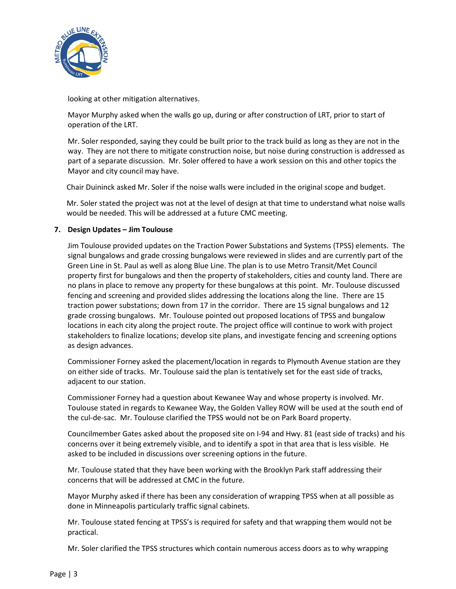

looking at other mitigation alternatives.

Mayor Murphy asked when the walls go up, during or after construction of LRT, prior to start of operation of the LRT.

Mr. Soler responded, saying they could be built prior to the track build as long as they are not in the way. They are not there to mitigate construction noise, but noise during construction is addressed as part of a separate discussion. Mr. Soler offered to have a work session on this and other topics the Mayor and city council may have.

Chair Duininck asked Mr. Soler if the noise walls were included in the original scope and budget.

Mr. Soler stated the project was not at the level of design at that time to understand what noise walls would be needed. This will be addressed at a future CMC meeting.

# **7. Design Updates – Jim Toulouse**

Jim Toulouse provided updates on the Traction Power Substations and Systems (TPSS) elements. The signal bungalows and grade crossing bungalows were reviewed in slides and are currently part of the Green Line in St. Paul as well as along Blue Line. The plan is to use Metro Transit/Met Council property first for bungalows and then the property of stakeholders, cities and county land. There are no plans in place to remove any property for these bungalows at this point. Mr. Toulouse discussed fencing and screening and provided slides addressing the locations along the line. There are 15 traction power substations; down from 17 in the corridor. There are 15 signal bungalows and 12 grade crossing bungalows. Mr. Toulouse pointed out proposed locations of TPSS and bungalow locations in each city along the project route. The project office will continue to work with project stakeholders to finalize locations; develop site plans, and investigate fencing and screening options as design advances.

Commissioner Forney asked the placement/location in regards to Plymouth Avenue station are they on either side of tracks. Mr. Toulouse said the plan is tentatively set for the east side of tracks, adjacent to our station.

Commissioner Forney had a question about Kewanee Way and whose property is involved. Mr. Toulouse stated in regards to Kewanee Way, the Golden Valley ROW will be used at the south end of the cul-de-sac. Mr. Toulouse clarified the TPSS would not be on Park Board property.

Councilmember Gates asked about the proposed site on I-94 and Hwy. 81 (east side of tracks) and his concerns over it being extremely visible, and to identify a spot in that area that is less visible. He asked to be included in discussions over screening options in the future.

Mr. Toulouse stated that they have been working with the Brooklyn Park staff addressing their concerns that will be addressed at CMC in the future.

Mayor Murphy asked if there has been any consideration of wrapping TPSS when at all possible as done in Minneapolis particularly traffic signal cabinets.

Mr. Toulouse stated fencing at TPSS's is required for safety and that wrapping them would not be practical.

Mr. Soler clarified the TPSS structures which contain numerous access doors as to why wrapping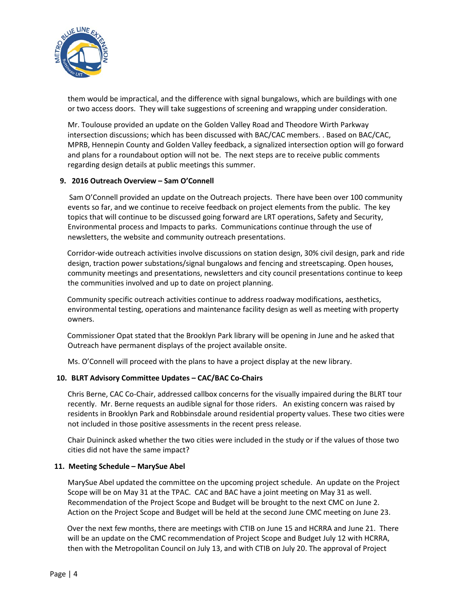

them would be impractical, and the difference with signal bungalows, which are buildings with one or two access doors. They will take suggestions of screening and wrapping under consideration.

Mr. Toulouse provided an update on the Golden Valley Road and Theodore Wirth Parkway intersection discussions; which has been discussed with BAC/CAC members. . Based on BAC/CAC, MPRB, Hennepin County and Golden Valley feedback, a signalized intersection option will go forward and plans for a roundabout option will not be. The next steps are to receive public comments regarding design details at public meetings this summer.

## **9. 2016 Outreach Overview – Sam O'Connell**

Sam O'Connell provided an update on the Outreach projects. There have been over 100 community events so far, and we continue to receive feedback on project elements from the public. The key topics that will continue to be discussed going forward are LRT operations, Safety and Security, Environmental process and Impacts to parks. Communications continue through the use of newsletters, the website and community outreach presentations.

 Corridor-wide outreach activities involve discussions on station design, 30% civil design, park and ride design, traction power substations/signal bungalows and fencing and streetscaping. Open houses, community meetings and presentations, newsletters and city council presentations continue to keep the communities involved and up to date on project planning.

 Community specific outreach activities continue to address roadway modifications, aesthetics, environmental testing, operations and maintenance facility design as well as meeting with property owners.

 Commissioner Opat stated that the Brooklyn Park library will be opening in June and he asked that Outreach have permanent displays of the project available onsite.

Ms. O'Connell will proceed with the plans to have a project display at the new library.

#### **10. BLRT Advisory Committee Updates – CAC/BAC Co-Chairs**

Chris Berne, CAC Co-Chair, addressed callbox concerns for the visually impaired during the BLRT tour recently. Mr. Berne requests an audible signal for those riders. An existing concern was raised by residents in Brooklyn Park and Robbinsdale around residential property values. These two cities were not included in those positive assessments in the recent press release.

Chair Duininck asked whether the two cities were included in the study or if the values of those two cities did not have the same impact?

#### **11. Meeting Schedule – MarySue Abel**

MarySue Abel updated the committee on the upcoming project schedule. An update on the Project Scope will be on May 31 at the TPAC. CAC and BAC have a joint meeting on May 31 as well. Recommendation of the Project Scope and Budget will be brought to the next CMC on June 2. Action on the Project Scope and Budget will be held at the second June CMC meeting on June 23.

 Over the next few months, there are meetings with CTIB on June 15 and HCRRA and June 21. There will be an update on the CMC recommendation of Project Scope and Budget July 12 with HCRRA, then with the Metropolitan Council on July 13, and with CTIB on July 20. The approval of Project